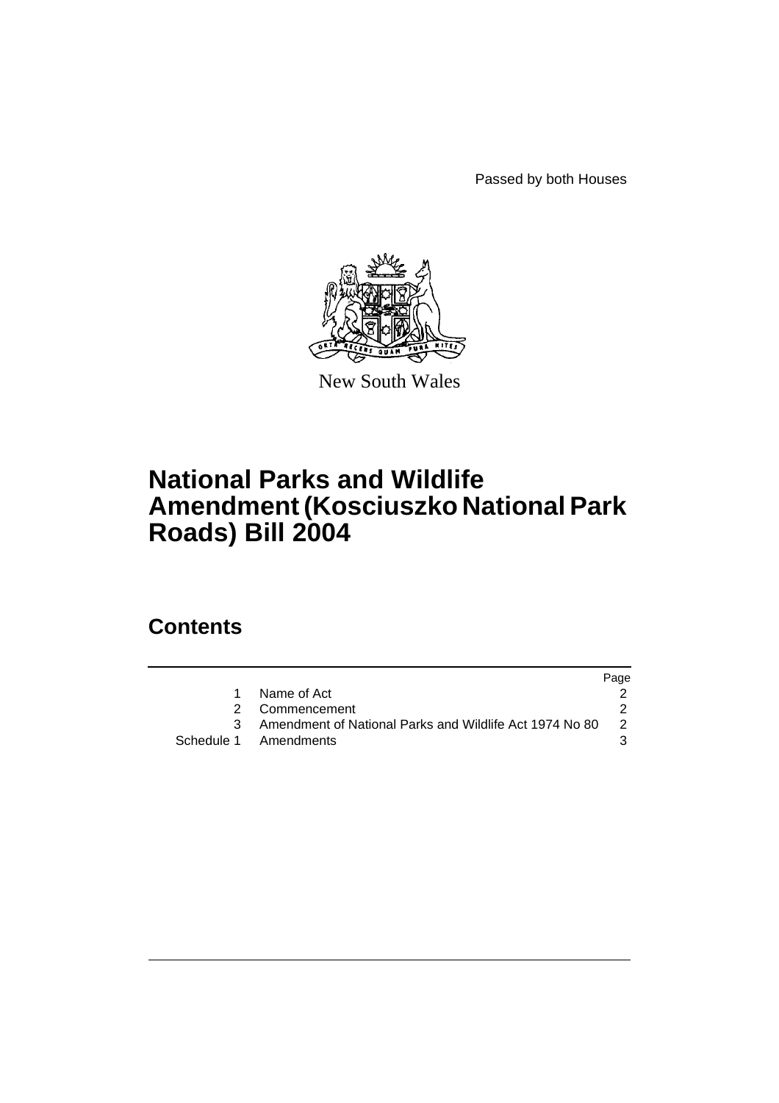Passed by both Houses



New South Wales

# **National Parks and Wildlife Amendment (Kosciuszko National Park Roads) Bill 2004**

# **Contents**

|                                                         | Page |
|---------------------------------------------------------|------|
| Name of Act                                             |      |
| 2 Commencement                                          |      |
| Amendment of National Parks and Wildlife Act 1974 No 80 | -2   |
| Schedule 1 Amendments                                   |      |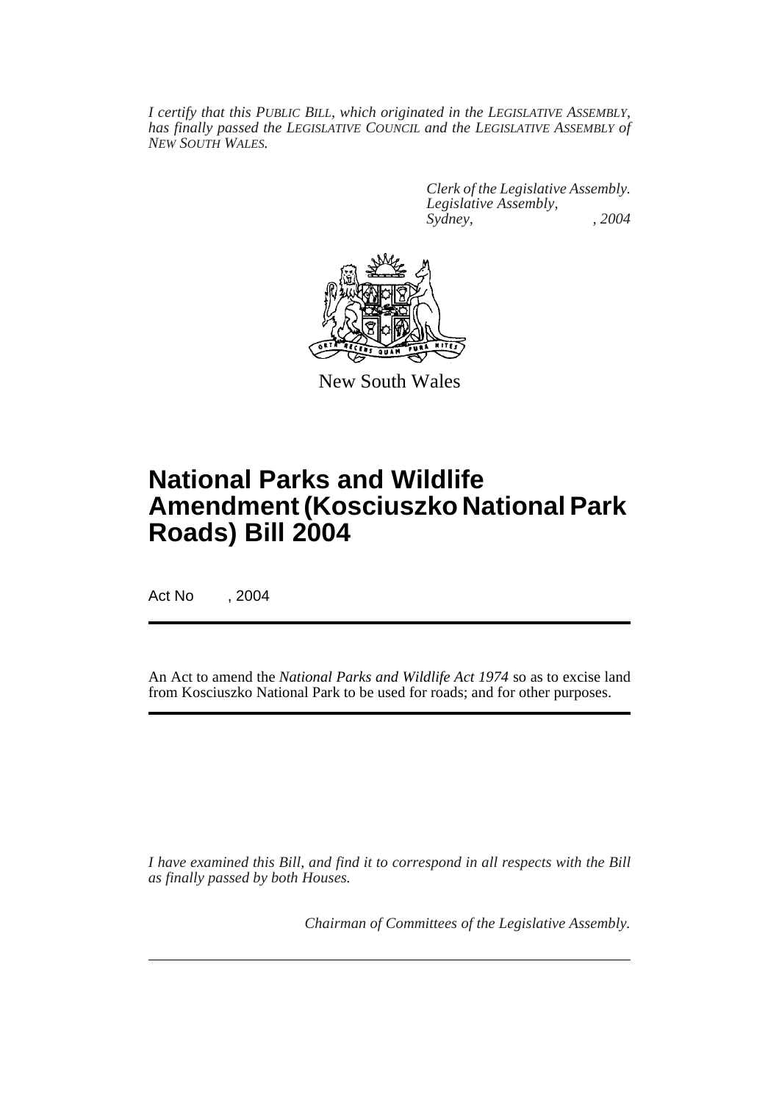*I certify that this PUBLIC BILL, which originated in the LEGISLATIVE ASSEMBLY, has finally passed the LEGISLATIVE COUNCIL and the LEGISLATIVE ASSEMBLY of NEW SOUTH WALES.*

> *Clerk of the Legislative Assembly. Legislative Assembly, Sydney, , 2004*



New South Wales

# **National Parks and Wildlife Amendment (Kosciuszko National Park Roads) Bill 2004**

Act No , 2004

An Act to amend the *National Parks and Wildlife Act 1974* so as to excise land from Kosciuszko National Park to be used for roads; and for other purposes.

*I have examined this Bill, and find it to correspond in all respects with the Bill as finally passed by both Houses.*

*Chairman of Committees of the Legislative Assembly.*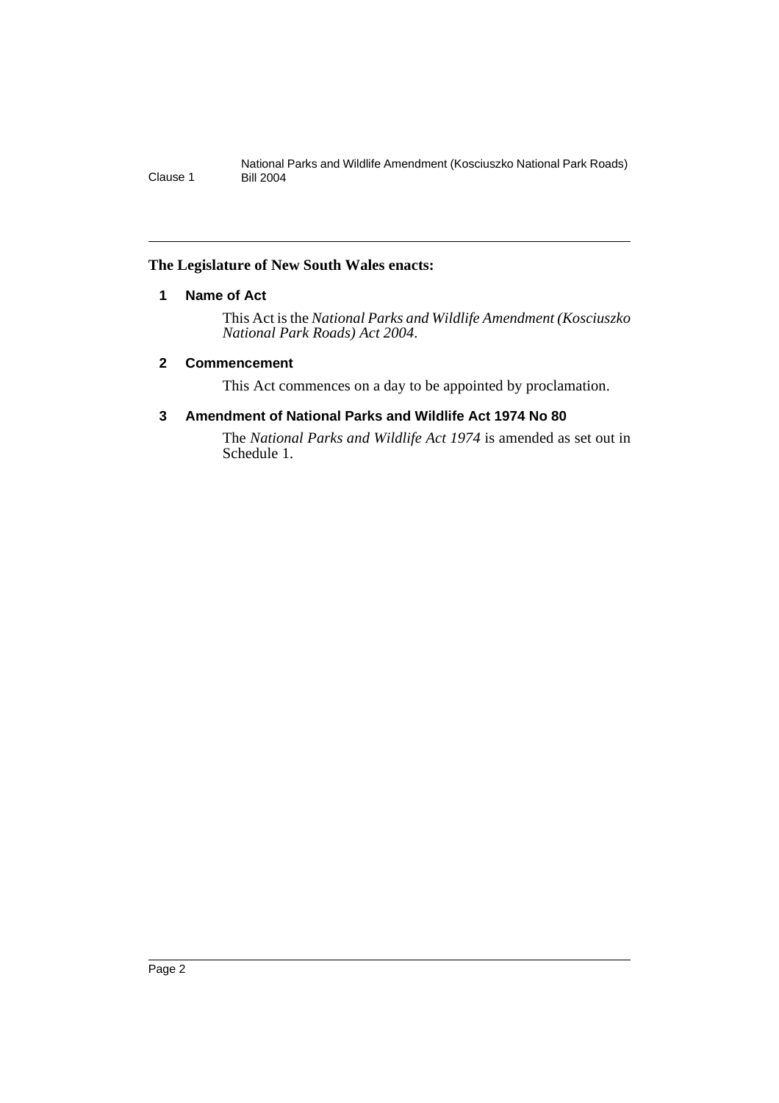### **The Legislature of New South Wales enacts:**

# **1 Name of Act**

This Act is the *National Parks and Wildlife Amendment (Kosciuszko National Park Roads) Act 2004*.

### **2 Commencement**

This Act commences on a day to be appointed by proclamation.

## **3 Amendment of National Parks and Wildlife Act 1974 No 80**

The *National Parks and Wildlife Act 1974* is amended as set out in Schedule 1.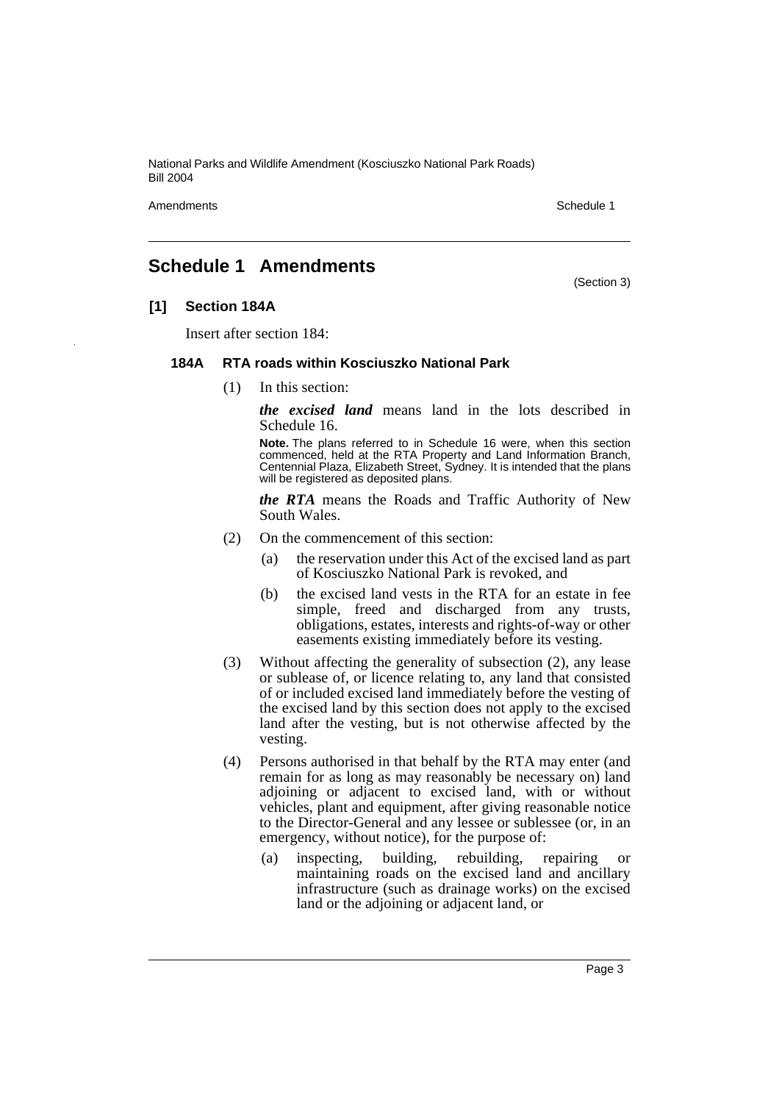National Parks and Wildlife Amendment (Kosciuszko National Park Roads) Bill 2004

Amendments **Schedule 1** and the set of the set of the set of the set of the set of the set of the set of the set of the set of the set of the set of the set of the set of the set of the set of the set of the set of the set

(Section 3)

# **Schedule 1 Amendments**

#### **[1] Section 184A**

Insert after section 184:

#### **184A RTA roads within Kosciuszko National Park**

(1) In this section:

*the excised land* means land in the lots described in Schedule 16.

**Note.** The plans referred to in Schedule 16 were, when this section commenced, held at the RTA Property and Land Information Branch, Centennial Plaza, Elizabeth Street, Sydney. It is intended that the plans will be registered as deposited plans.

*the RTA* means the Roads and Traffic Authority of New South Wales.

- (2) On the commencement of this section:
	- (a) the reservation under this Act of the excised land as part of Kosciuszko National Park is revoked, and
	- (b) the excised land vests in the RTA for an estate in fee simple, freed and discharged from any trusts, obligations, estates, interests and rights-of-way or other easements existing immediately before its vesting.
- (3) Without affecting the generality of subsection (2), any lease or sublease of, or licence relating to, any land that consisted of or included excised land immediately before the vesting of the excised land by this section does not apply to the excised land after the vesting, but is not otherwise affected by the vesting.
- (4) Persons authorised in that behalf by the RTA may enter (and remain for as long as may reasonably be necessary on) land adjoining or adjacent to excised land, with or without vehicles, plant and equipment, after giving reasonable notice to the Director-General and any lessee or sublessee (or, in an emergency, without notice), for the purpose of:
	- (a) inspecting, building, rebuilding, repairing or maintaining roads on the excised land and ancillary infrastructure (such as drainage works) on the excised land or the adjoining or adjacent land, or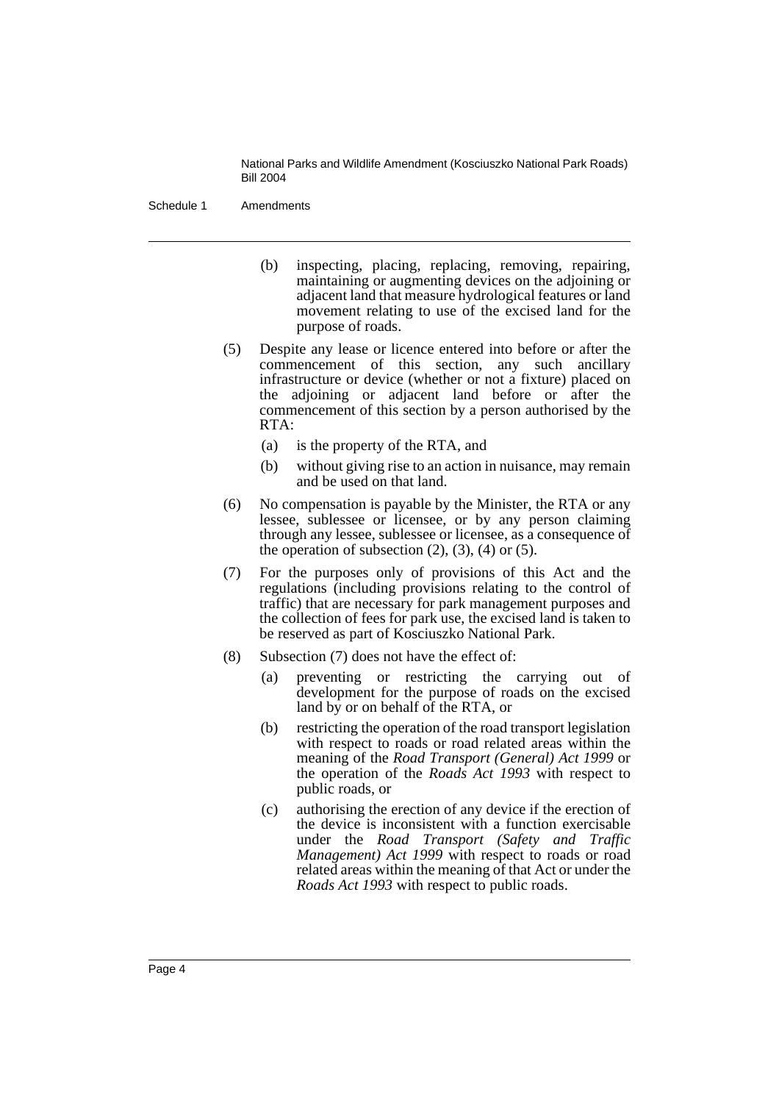National Parks and Wildlife Amendment (Kosciuszko National Park Roads) Bill 2004

Schedule 1 Amendments

- (b) inspecting, placing, replacing, removing, repairing, maintaining or augmenting devices on the adjoining or adjacent land that measure hydrological features or land movement relating to use of the excised land for the purpose of roads.
- (5) Despite any lease or licence entered into before or after the commencement of this section, any such ancillary infrastructure or device (whether or not a fixture) placed on the adjoining or adjacent land before or after the commencement of this section by a person authorised by the RTA:
	- (a) is the property of the RTA, and
	- (b) without giving rise to an action in nuisance, may remain and be used on that land.
- (6) No compensation is payable by the Minister, the RTA or any lessee, sublessee or licensee, or by any person claiming through any lessee, sublessee or licensee, as a consequence of the operation of subsection  $(2)$ ,  $(3)$ ,  $(4)$  or  $(5)$ .
- (7) For the purposes only of provisions of this Act and the regulations (including provisions relating to the control of traffic) that are necessary for park management purposes and the collection of fees for park use, the excised land is taken to be reserved as part of Kosciuszko National Park.
- (8) Subsection (7) does not have the effect of:
	- (a) preventing or restricting the carrying out of development for the purpose of roads on the excised land by or on behalf of the RTA, or
	- (b) restricting the operation of the road transport legislation with respect to roads or road related areas within the meaning of the *Road Transport (General) Act 1999* or the operation of the *Roads Act 1993* with respect to public roads, or
	- (c) authorising the erection of any device if the erection of the device is inconsistent with a function exercisable under the *Road Transport (Safety and Traffic Management) Act 1999* with respect to roads or road related areas within the meaning of that Act or under the *Roads Act 1993* with respect to public roads.